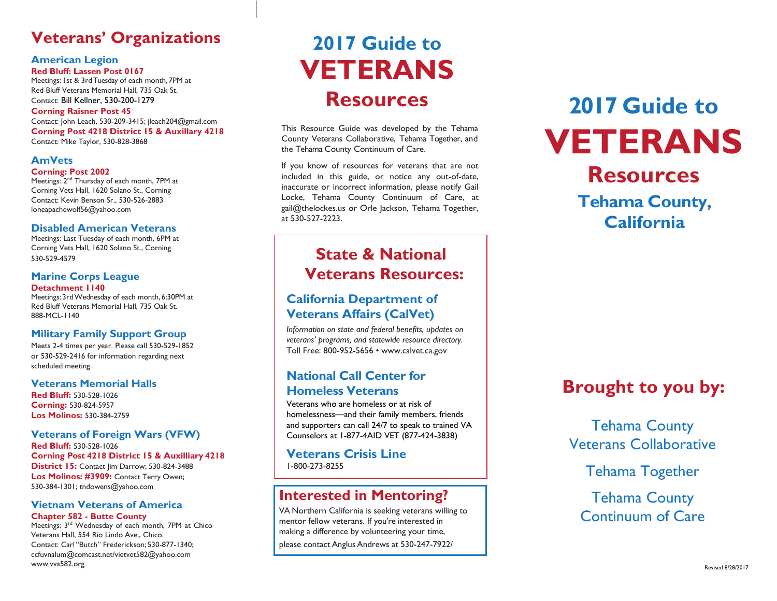## **Veterans' Organizations**

#### **American Legion Red Bluff: Lassen Post 0167**

Meetings: 1st & 3rdTuesday of each month, 7PM at Red Bluff Veterans Memorial Hall, 735 Oak St. Contact: Bill Kellner, 530-200-1279

#### **Corning Raisner Post 45**

Contact: John Leach, 530-209-3415; jleach204@gmail.com **Corning Post 4218 District 15 & Auxillary 4218** Contact: Mike Taylor, 530-828-3868

#### **AmVets**

#### **Corning: Post 2002**

Meetings: 2<sup>nd</sup> Thursday of each month, 7PM at Corning Vets Hall, 1620 Solano St., Corning Contact: Kevin Benson Sr., 530-526-2883 [loneapachewolf56@yahoo.com](mailto:loneapachewolf56@yahoo.com)

#### **Disabled American Veterans**

Meetings: Last Tuesday of each month, 6PM at Corning Vets Hall, 1620 Solano St., Corning 530-529-4579

#### **Marine Corps League Detachment 1140**

Meetings: 3rdWednesday of each month, 6:30PM at Red Bluff Veterans Memorial Hall, 735 Oak St. 888-MCL-1140

#### **Military Family Support Group**

Meets 2-4 times per year. Please call 530-529-1852 or 530-529-2416 for information regarding next scheduled meeting.

#### **Veterans Memorial Halls**

**Red Bluff:** 530-528-1026 **Corning:** 530-824-5957 **Los Molinos:** 530-384-2759

#### **Veterans of Foreign Wars (VFW)**

**Red Bluff:** 530-528-1026 **Corning Post 4218 District 15 & Auxilliary 4218 District 15: Contact Iim Darrow: 530-824-3488 Los Molinos: #3909:** Contact Terry Owen; 530-384-1301; [tndowens@yahoo.com](mailto:tndowens@yahoo.com)

#### **Vietnam Veterans of America Chapter 582 - Butte County**

Meetings: 3<sup>rd</sup> Wednesday of each month, 7PM at Chico Veterans Hall, 554 Rio Lindo Ave., Chico. Contact: Carl "Butch" Frederickson; 530-877-1340; ccfuvnalum@comcast.net/vietvet582@yahoo.com [www.vva582.org](http://www.vva582.org/)

# **2017 Guide to VETERANS Resources**

This Resource Guide was developed by the Tehama County Veterans Collaborative, Tehama Together, and the Tehama County Continuum of Care.

If you know of resources for veterans that are not included in this guide, or notice any out-of-date, inaccurate or incorrect information, please notify Gail Locke, Tehama County Continuum of Care, at [gail@thelockes.us](mailto:gail@thelockes.us) or Orle Jackson, Tehama Together, at 530-527-2223.

## **State & National Veterans Resources:**

#### **California Department of Veterans Affairs (CalVet)**

*Information on state and federal benefits, updates on veterans' programs, and statewide resource directory.*  Toll Free: 800-952-5656 • [www.calvet.ca.gov](http://www.calvet.ca.gov/)

#### **National Call Center for Homeless Veterans**

Veterans who are homeless or at risk of homelessness—and their family members, friends and supporters can call 24/7 to speak to trained VA Counselors at 1-877-4AID VET (877-424-3838)

**Veterans Crisis Line** 1-800-273-8255

### **Interested in Mentoring?**

VA Northern California is seeking veterans willing to mentor fellow veterans. If you're interested in making a difference by volunteering your time, please contact AnglusAndrews at 530-247-7922/

# **2017 Guide to VETERANS Resources Tehama County, California**

## **Brought to you by:**

Tehama County Veterans Collaborative

Tehama Together

Tehama County Continuum of Care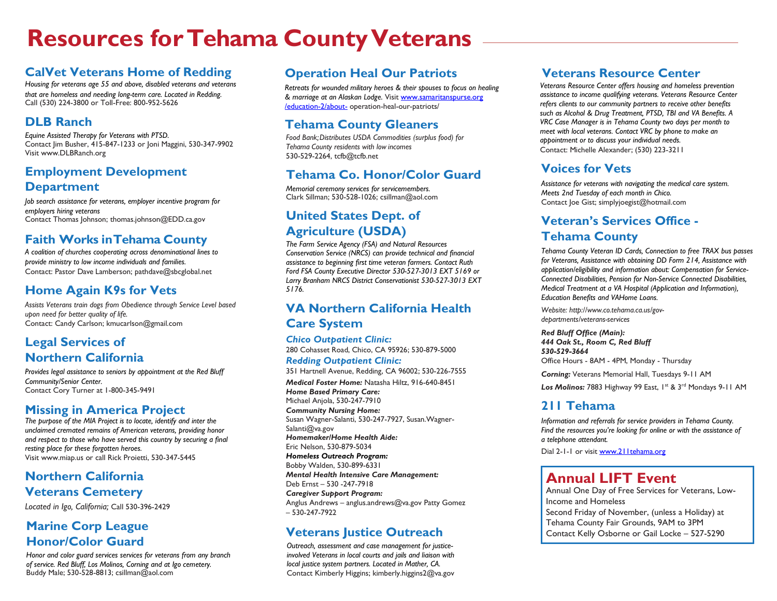# **Resources for Tehama County Veterans**

## **CalVet Veterans Home of Redding**

*Housing for veterans age 55 and above, disabled veterans and veterans that are homeless and needing long-term care. Located in Redding.* Call (530) 224-3800 or Toll-Free: 800-952-5626

#### **DLB Ranch**

*Equine Assisted Therapy for Veterans with PTSD.* Contact Jim Busher, 415-847-1233 or Joni Maggini, 530-347-9902 Visit www.DLBRanch.org

#### **Employment Development Department**

*Job search assistance for veterans, employer incentive program for employers hiring veterans* Contact Thomas Johnson[; thomas.johnson@EDD.ca.gov](mailto:thomas.johnson@EDD.ca.gov)

#### **Faith Works inTehama County**

*A coalition of churches cooperating across denominational lines to provide ministry to low income individuals and families.* Contact: Pastor Dave Lamberson[; pathdave@sbcglobal.net](mailto:pathdave@sbcglobal.net)

#### **Home Again K9s for Vets**

*Assists Veterans train dogs from Obedience through Service Level based upon need for better quality of life.* Contact: Candy Carlson[; kmucarlson@gmail.com](mailto:kmucarlson@gmail.com)

#### **Legal Services of Northern California**

*Provides legal assistance to seniors by appointment at the Red Bluff Community/Senior Center.* Contact Cory Turner at 1-800-345-9491

#### **Missing in America Project**

*The purpose of the MIA Project is to locate, identify and inter the unclaimed cremated remains of American veterans, providing honor and respect to those who have served this country by securing a final resting place for these forgotten heroes.* Visit [www.miap.us](http://www.miap.us/) or call Rick Proietti, 530-347-5445

## **Northern California Veterans Cemetery**

*Located in Igo, California;* Call 530-396-2429

### **Marine Corp League Honor/Color Guard**

*Honor and color guard services services for veterans from any branch of service. Red Bluff, Los Molinos, Corning and at Igo cemetery.* Buddy Male; 530-528-8813[; csillman@aol.com](mailto:csillman@aol.com)

## **Operation Heal Our Patriots**

*Retreats for wounded military heroes & their spouses to focus on healing & marriage at an Alaskan Lodge.* Visi[t www.samaritanspurse.org](http://www.samaritanspurse.org/education-2/about-) [/education-2/about-](http://www.samaritanspurse.org/education-2/about-) operation-heal-our-patriots/

## **Tehama County Gleaners**

*Food Bank; Distributes USDA Commodities (surplus food) for Tehama County residents with low incomes* 530-529-2264[, tcfb@tcfb.net](mailto:tcfb@tcfb.net)

## **Tehama Co. Honor/Color Guard**

*Memorial ceremony services for servicemembers.* Clark Sillman; 530-528-1026[; csillman@aol.com](mailto:csillman@aol.com)

## **United States Dept. of Agriculture (USDA)**

*The Farm Service Agency (FSA) and Natural Resources Conservation Service (NRCS) can provide technical and financial assistance to beginning first time veteran farmers. Contact Ruth Ford FSA County Executive Director 530-527-3013 EXT 5169 or Larry Branham NRCS District Conservationist 530-527-3013 EXT 5176.*

#### **VA Northern California Health Care System**

#### *Chico Outpatient Clinic:* 280 Cohasset Road, Chico, CA 95926; 530-879-5000 *Redding Outpatient Clinic:*

351 Hartnell Avenue, Redding, CA 96002; 530-226-7555

*Medical Foster Home:* Natasha Hiltz, 916-640-8451 *Home Based Primary Care:*

Michael Anjola, 530-247-7910 *Community Nursing Home:*

Susan Wagner-Salanti, 530-247-7927[, Susan.Wagner-](mailto:Susan.Wagner-Salanti@va.gov)[Salanti@va.gov](mailto:Susan.Wagner-Salanti@va.gov) *Homemaker/Home Health Aide:*

Eric Nelson, 530-879-5034 *Homeless Outreach Program:*

Bobby Walden, 530-899-6331 *Mental Health Intensive Care Management:* Deb Ernst – 530 -247-7918

*Caregiver Support Program:*

Anglus Andrews – [anglus.andrews@va.gov](mailto:anglus.andrews@va.gov) Patty Gomez – 530-247-7922

## **Veterans Justice Outreach**

*Outreach, assessment and case management for justiceinvolved Veterans in local courts and jails and liaison with local justice system partners. Located in Mather, CA.* Contact Kimberly Higgins; [kimberly.higgins2@va.gov](mailto:kimberly.higgins2@va.gov)

## **Veterans Resource Center**

*Veterans Resource Center offers housing and homeless prevention assistance to income qualifying veterans. Veterans Resource Center refers clients to our community partners to receive other benefits such as Alcohol & Drug Treatment, PTSD, TBI and VA Benefits. A VRC Case Manager is in Tehama County two days per month to meet with local veterans. Contact VRC by phone to make an appointment or to discuss your individual needs.* Contact: Michelle Alexander; (530) 223-3211

## **Voices for Vets**

*Assistance for veterans with navigating the medical care system. Meets 2nd Tuesday of each month in Chico.* Contact Joe Gist; [simplyjoegist@hotmail.com](mailto:simplyjoegist@hotmail.com)

## **Veteran's Services Office - Tehama County**

*Tehama County Veteran ID Cards, Connection to free TRAX bus passes for Veterans, Assistance with obtaining DD Form 214, Assistance with application/eligibility and information about: Compensation for Service-Connected Disabilities, Pension for Non-Service Connected Disabilities, Medical Treatment at a VA Hospital (Application and Information), Education Benefits and VAHome Loans.*

*Website[: http://www.co.tehama.ca.us/gov](http://www.co.tehama.ca.us/gov-)departments/veterans-services*

*Red Bluff Office (Main): 444 Oak St., Room C, Red Bluff 530-529-3664* Office Hours - 8AM - 4PM, Monday - Thursday

*Corning:* Veterans Memorial Hall, Tuesdays 9-11 AM

Los Molinos: 7883 Highway 99 East, 1st & 3rd Mondays 9-11 AM

#### **211 Tehama**

*Information and referrals for service providers in Tehama County. Find the resources you're looking for online or with the assistance of a telephone attendant.*

Dial 2-1-1 or visit [www.211tehama.org](http://www.211tehama.org/)

## **Annual LIFT Event**

Annual One Day of Free Services for Veterans, Low-Income and Homeless Second Friday of November, (unless a Holiday) at Tehama County Fair Grounds, 9AM to 3PM Contact Kelly Osborne or Gail Locke – 527-5290